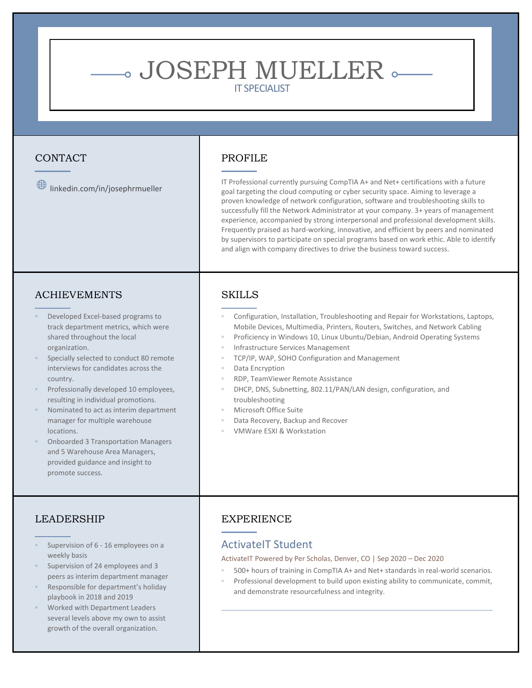# JOSEPH MUELLER IT SPECIALIST

## CONTACT

 $\bigoplus$  linkedin.com/in/josephrmueller

### PROFILE

IT Professional currently pursuing CompTIA A+ and Net+ certifications with a future goal targeting the cloud computing or cyber security space. Aiming to leverage a proven knowledge of network configuration, software and troubleshooting skills to successfully fill the Network Administrator at your company. 3+ years of management experience, accompanied by strong interpersonal and professional development skills. Frequently praised as hard-working, innovative, and efficient by peers and nominated by supervisors to participate on special programs based on work ethic. Able to identify and align with company directives to drive the business toward success.

# ACHIEVEMENTS

- Developed Excel-based programs to track department metrics, which were shared throughout the local organization.
- Specially selected to conduct 80 remote interviews for candidates across the country.
- Professionally developed 10 employees, resulting in individual promotions.
- Nominated to act as interim department manager for multiple warehouse locations.
- Onboarded 3 Transportation Managers and 5 Warehouse Area Managers, provided guidance and insight to promote success.

# LEADERSHIP

- Supervision of 6 16 employees on a weekly basis
- Supervision of 24 employees and 3 peers as interim department manager
- Responsible for department's holiday playbook in 2018 and 2019
- Worked with Department Leaders several levels above my own to assist growth of the overall organization.

# SKILLS

- Configuration, Installation, Troubleshooting and Repair for Workstations, Laptops, Mobile Devices, Multimedia, Printers, Routers, Switches, and Network Cabling
- Proficiency in Windows 10, Linux Ubuntu/Debian, Android Operating Systems
- Infrastructure Services Management
- TCP/IP, WAP, SOHO Configuration and Management
- Data Encryption
- RDP, TeamViewer Remote Assistance
- DHCP, DNS, Subnetting, 802.11/PAN/LAN design, configuration, and troubleshooting
- Microsoft Office Suite
- Data Recovery, Backup and Recover
- VMWare ESXI & Workstation

## **EXPERIENCE**

#### ActivateIT Student

ActivateIT Powered by Per Scholas, Denver, CO | Sep 2020 - Dec 2020

- 500+ hours of training in CompTIA A+ and Net+ standards in real-world scenarios.
- Professional development to build upon existing ability to communicate, commit, and demonstrate resourcefulness and integrity.